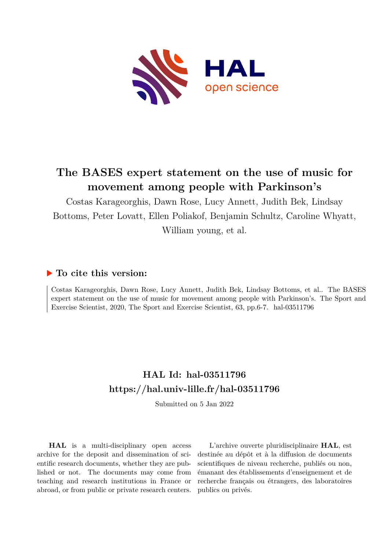

# **The BASES expert statement on the use of music for movement among people with Parkinson's**

Costas Karageorghis, Dawn Rose, Lucy Annett, Judith Bek, Lindsay Bottoms, Peter Lovatt, Ellen Poliakof, Benjamin Schultz, Caroline Whyatt, William young, et al.

## **To cite this version:**

Costas Karageorghis, Dawn Rose, Lucy Annett, Judith Bek, Lindsay Bottoms, et al.. The BASES expert statement on the use of music for movement among people with Parkinson's. The Sport and Exercise Scientist, 2020, The Sport and Exercise Scientist, 63, pp. 6-7. hal-03511796

# **HAL Id: hal-03511796 <https://hal.univ-lille.fr/hal-03511796>**

Submitted on 5 Jan 2022

**HAL** is a multi-disciplinary open access archive for the deposit and dissemination of scientific research documents, whether they are published or not. The documents may come from teaching and research institutions in France or abroad, or from public or private research centers.

L'archive ouverte pluridisciplinaire **HAL**, est destinée au dépôt et à la diffusion de documents scientifiques de niveau recherche, publiés ou non, émanant des établissements d'enseignement et de recherche français ou étrangers, des laboratoires publics ou privés.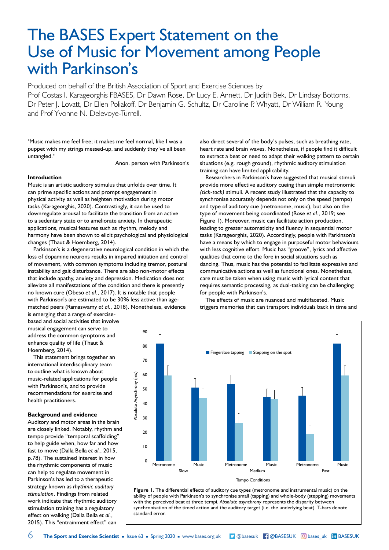# The BASES Expert Statement on the Use of Music for Movement among People with Parkinson's

Produced on behalf of the British Association of Sport and Exercise Sciences by Prof Costas I. Karageorghis FBASES, Dr Dawn Rose, Dr Lucy E. Annett, Dr Judith Bek, Dr Lindsay Bottoms, Dr Peter J. Lovatt, Dr Ellen Poliakoff, Dr Benjamin G. Schultz, Dr Caroline P. Whyatt, Dr William R. Young and Prof Yvonne N. Delevoye-Turrell.

"Music makes me feel free; it makes me feel normal, like I was a puppet with my strings messed-up, and suddenly they've all been untangled."

Anon. person with Parkinson's

#### **Introduction**

Music is an artistic auditory stimulus that unfolds over time. It can prime specific actions and prompt engagement in physical activity as well as heighten motivation during motor tasks (Karageorghis, 2020). Contrastingly, it can be used to downregulate arousal to facilitate the transition from an active to a sedentary state or to ameliorate anxiety. In therapeutic applications, musical features such as rhythm, melody and harmony have been shown to elicit psychological and physiological changes (Thaut & Hoemberg, 2014).

Parkinson's is a degenerative neurological condition in which the loss of dopamine neurons results in impaired initiation and control of movement, with common symptoms including tremor, postural instability and gait disturbance. There are also non-motor effects that include apathy, anxiety and depression. Medication does not alleviate all manifestations of the condition and there is presently no known cure (Obeso *et al.*, 2017). It is notable that people with Parkinson's are estimated to be 30% less active than agematched peers (Ramaswamy *et al.*, 2018). Nonetheless, evidence

is emerging that a range of exercisebased and social activities that involve musical engagement can serve to address the common symptoms and enhance quality of life (Thaut & Hoemberg, 2014).

This statement brings together an international interdisciplinary team to outline what is known about music-related applications for people with Parkinson's, and to provide recommendations for exercise and health practitioners.

#### **Background and evidence**

Auditory and motor areas in the brain are closely linked. Notably, rhythm and tempo provide "temporal scaffolding" to help guide when, how far and how fast to move (Dalla Bella *et al.*, 2015, p.78). The sustained interest in how the rhythmic components of music can help to regulate movement in Parkinson's has led to a therapeutic strategy known as *rhythmic auditory stimulation*. Findings from related work indicate that rhythmic auditory stimulation training has a regulatory effect on walking (Dalla Bella *et al.*, 2015). This "entrainment effect" can

also direct several of the body's pulses, such as breathing rate, heart rate and brain waves. Nonetheless, if people find it difficult to extract a beat or need to adapt their walking pattern to certain situations (e.g. rough ground), rhythmic auditory stimulation training can have limited applicability.

Researchers in Parkinson's have suggested that musical stimuli provide more effective auditory cueing than simple metronomic *(tick-tock)* stimuli. A recent study illustrated that the capacity to synchronise accurately depends not only on the speed (tempo) and type of auditory cue (metronome, music), but also on the type of movement being coordinated (Rose *et al.*, 2019; see Figure 1). Moreover, music can facilitate action production, leading to greater automaticity and fluency in sequential motor tasks (Karageorghis, 2020). Accordingly, people with Parkinson's have a means by which to engage in purposeful motor behaviours with less cognitive effort. Music has "groove", lyrics and affective qualities that come to the fore in social situations such as dancing. Thus, music has the potential to facilitate expressive and communicative actions as well as functional ones. Nonetheless, care must be taken when using music with lyrical content that requires semantic processing, as dual-tasking can be challenging for people with Parkinson's.

The effects of music are nuanced and multifaceted. Music triggers memories that can transport individuals back in time and



Figure 1. The differential effects of auditory cue types (metronome and instrumental music) on the ability of people with Parkinson's to synchronise small (tapping) and whole-body (stepping) movements with the perceived beat at three tempi. *Absolute asynchrony* represents the disparity between synchronisation of the timed action and the auditory target (i.e. the underlying beat). T-bars denote standard error.